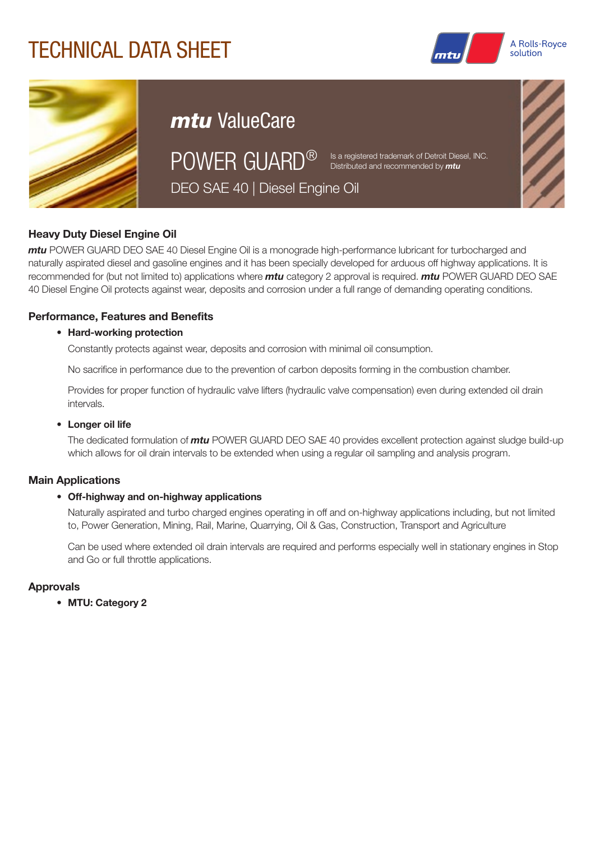# TECHNICAL DATA SHEET





# *mtu* ValueCare

POWER GUARD<sup>®</sup> Is a registered trademark of Detroit Diesel, INC.

Distributed and recommended by *mtu*

DEO SAE 40 | Diesel Engine Oil

## Heavy Duty Diesel Engine Oil

*mtu* POWER GUARD DEO SAE 40 Diesel Engine Oil is a monograde high-performance lubricant for turbocharged and naturally aspirated diesel and gasoline engines and it has been specially developed for arduous off highway applications. It is recommended for (but not limited to) applications where *mtu* category 2 approval is required. *mtu* POWER GUARD DEO SAE 40 Diesel Engine Oil protects against wear, deposits and corrosion under a full range of demanding operating conditions.

## Performance, Features and Benefits

#### • Hard-working protection

Constantly protects against wear, deposits and corrosion with minimal oil consumption.

No sacrifice in performance due to the prevention of carbon deposits forming in the combustion chamber.

Provides for proper function of hydraulic valve lifters (hydraulic valve compensation) even during extended oil drain intervals.

#### • Longer oil life

The dedicated formulation of *mtu* POWER GUARD DEO SAE 40 provides excellent protection against sludge build-up which allows for oil drain intervals to be extended when using a regular oil sampling and analysis program.

### Main Applications

#### • Off-highway and on-highway applications

Naturally aspirated and turbo charged engines operating in off and on-highway applications including, but not limited to, Power Generation, Mining, Rail, Marine, Quarrying, Oil & Gas, Construction, Transport and Agriculture

Can be used where extended oil drain intervals are required and performs especially well in stationary engines in Stop and Go or full throttle applications.

### Approvals

• MTU: Category 2